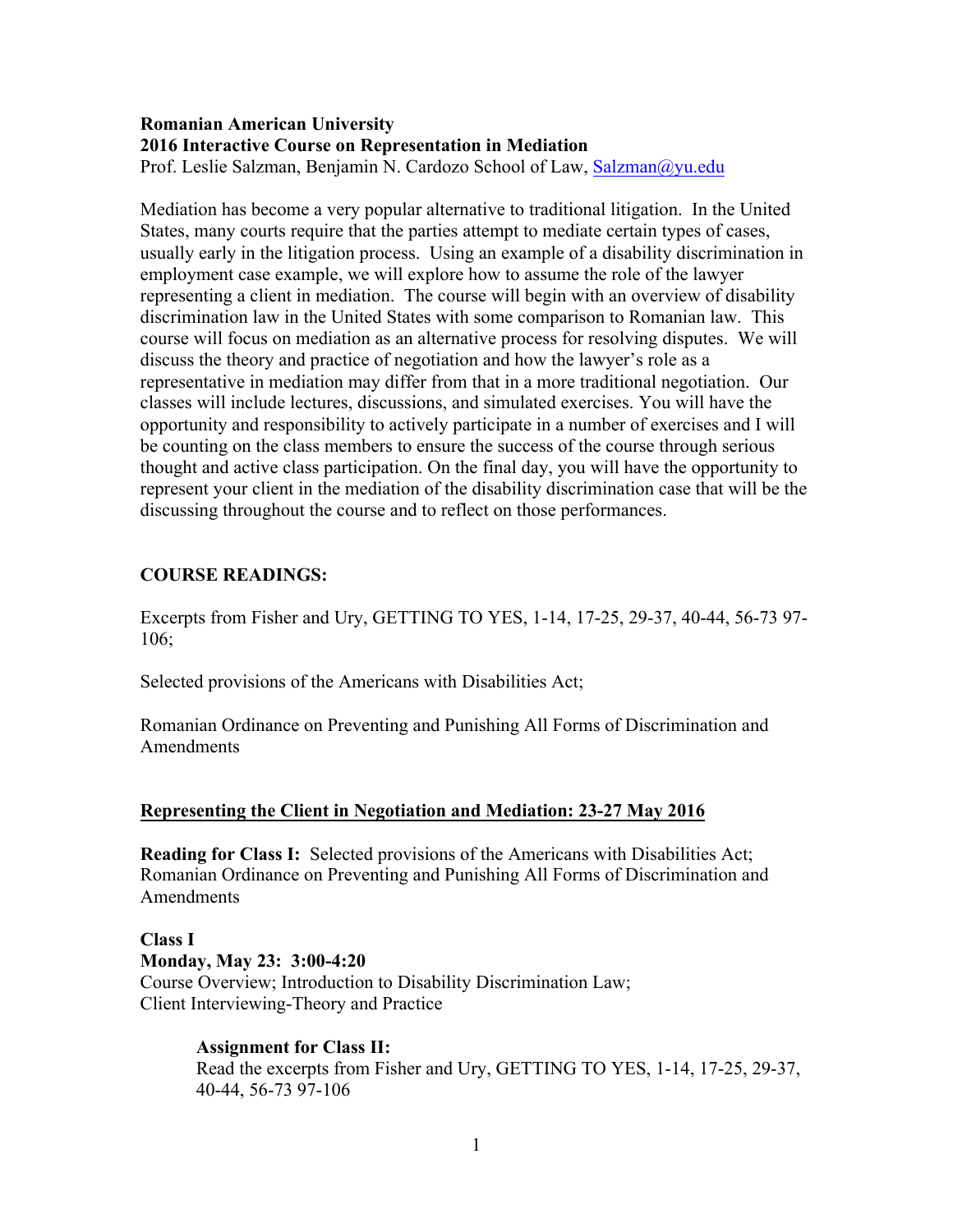#### **Romanian American University 2016 Interactive Course on Representation in Mediation**  Prof. Leslie Salzman, Benjamin N. Cardozo School of Law, Salzman@yu.edu

Mediation has become a very popular alternative to traditional litigation. In the United States, many courts require that the parties attempt to mediate certain types of cases, usually early in the litigation process. Using an example of a disability discrimination in employment case example, we will explore how to assume the role of the lawyer representing a client in mediation. The course will begin with an overview of disability discrimination law in the United States with some comparison to Romanian law. This course will focus on mediation as an alternative process for resolving disputes. We will discuss the theory and practice of negotiation and how the lawyer's role as a representative in mediation may differ from that in a more traditional negotiation. Our classes will include lectures, discussions, and simulated exercises. You will have the opportunity and responsibility to actively participate in a number of exercises and I will be counting on the class members to ensure the success of the course through serious thought and active class participation. On the final day, you will have the opportunity to represent your client in the mediation of the disability discrimination case that will be the discussing throughout the course and to reflect on those performances.

## **COURSE READINGS:**

Excerpts from Fisher and Ury, GETTING TO YES, 1-14, 17-25, 29-37, 40-44, 56-73 97- 106;

Selected provisions of the Americans with Disabilities Act;

Romanian Ordinance on Preventing and Punishing All Forms of Discrimination and Amendments

## **Representing the Client in Negotiation and Mediation: 23-27 May 2016**

**Reading for Class I:** Selected provisions of the Americans with Disabilities Act; Romanian Ordinance on Preventing and Punishing All Forms of Discrimination and Amendments

**Class I Monday, May 23: 3:00-4:20** Course Overview; Introduction to Disability Discrimination Law; Client Interviewing-Theory and Practice

## **Assignment for Class II:**

Read the excerpts from Fisher and Ury, GETTING TO YES, 1-14, 17-25, 29-37, 40-44, 56-73 97-106